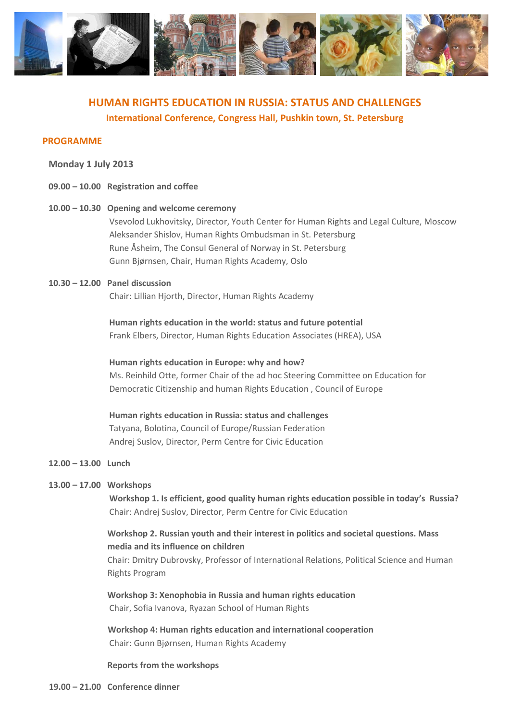

# **HUMAN RIGHTS EDUCATION IN RUSSIA: STATUS AND CHALLENGES International Conference, Congress Hall, Pushkin town, St. Petersburg**

### **PROGRAMME**

#### **Monday 1 July 2013**

- **09.00 – 10.00 Registration and coffee**
- **10.00 – 10.30 Opening and welcome ceremony**  Vsevolod Lukhovitsky, Director, Youth Center for Human Rights and Legal Culture, Moscow Aleksander Shislov, Human Rights Ombudsman in St. Petersburg Rune Åsheim, The Consul General of Norway in St. Petersburg Gunn Bjørnsen, Chair, Human Rights Academy, Oslo
- **10.30 – 12.00 Panel discussion**  Chair: Lillian Hjorth, Director, Human Rights Academy

**Human rights education in the world: status and future potential**  Frank Elbers, Director, Human Rights Education Associates (HREA), USA

**Human rights education in Europe: why and how?**  Ms. Reinhild Otte, former Chair of the ad hoc Steering Committee on Education for Democratic Citizenship and human Rights Education , Council of Europe

**Human rights education in Russia: status and challenges**  Tatyana, Bolotina, Council of Europe/Russian Federation Andrej Suslov, Director, Perm Centre for Civic Education

### **12.00 – 13.00 Lunch**

#### **13.00 – 17.00 Workshops**

**Workshop 1. Is efficient, good quality human rights education possible in today's Russia?**  Chair: Andrej Suslov, Director, Perm Centre for Civic Education

## **Workshop 2. Russian youth and their interest in politics and societal questions. Mass media and its influence on children**

Chair: Dmitry Dubrovsky, Professor of International Relations, Political Science and Human Rights Program

 **Workshop 3: Xenophobia in Russia and human rights education** Chair, Sofia Ivanova, Ryazan School of Human Rights

**Workshop 4: Human rights education and international cooperation**  Chair: Gunn Bjørnsen, Human Rights Academy

#### **Reports from the workshops**